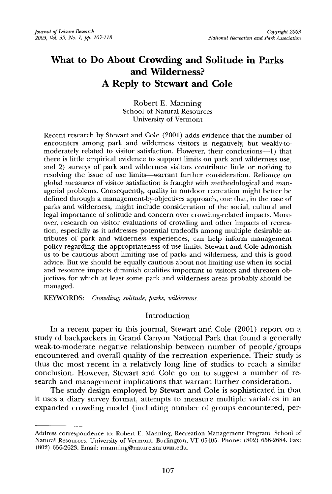# What to Do About Crowding and Solitude in Parks and Wilderness? A Reply to Stewart and Cole

Robert E. Manning School of Natural Resources University of Vermont

Recent research by Stewart and Cole (2001) adds evidence that the number of encounters among park and wilderness visitors is negatively, but weakly-tomoderately related to visitor satisfaction. However, their conclusions—1) that there is little empirical evidence to support limits on park and wilderness use, and 2) surveys of park and wilderness visitors contribute little or nothing to resolving the issue of use limits—warrant further consideration. Reliance on global measures of visitor satisfaction is fraught with methodological and managerial problems. Consequently, quality in outdoor recreation might better be defined through a management-by-objectives approach, one that, in the case of parks and wilderness, might include consideration of the social, cultural and legal importance of solitude and concern over crowding-related impacts. Moreover, research on visitor evaluations of crowding and other impacts of recreation, especially as it addresses potential tradeoffs among multiple desirable attributes of park and wilderness experiences, can help inform management policy regarding the appropriateness of use limits. Stewart and Cole admonish us to be cautious about limiting use of parks and wilderness, and this is good advice. But we should be equally cautious about not limiting use when its social and resource impacts diminish qualities important to visitors and threaten objectives for which at least some park and wilderness areas probably should be managed.

KEYWORDS: *Crowding, solitude, parks, wilderness.*

# Introduction

In a recent paper in this journal, Stewart and Cole (2001) report on a study of backpackers in Grand Canyon National Park that found a generally weak-to-moderate negative relationship between number of people/groups encountered and overall quality of the recreation experience. Their study is thus the most recent in a relatively long line of studies to reach a similar conclusion. However, Stewart and Cole go on to suggest a number of research and management implications that warrant further consideration.

The study design employed by Stewart and Cole is sophisticated in that it uses a diary survey format, attempts to measure multiple variables in an expanded crowding model (including number of groups encountered, per-

Address correspondence to: Robert E. Manning, Recreation Management Program, School of Natural Resources, University of Vermont, Burlington, VT 05405. Phone: (802) 656-2684. Fax: (802) 656-2623. Email: rmanning@nature.snr.uvm.edu.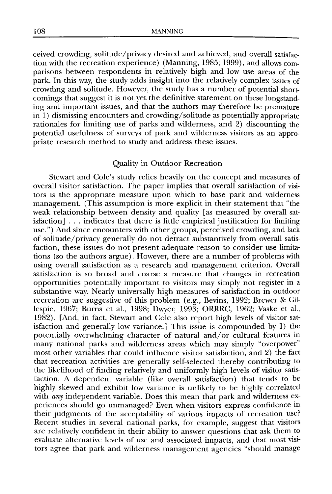ceived crowding, solitude/privacy desired and achieved, and overall satisfaction with the recreation experience) (Manning, 1985; 1999), and allows comparisons between respondents in relatively high and low use areas of the park. In this way, the study adds insight into the relatively complex issues of crowding and solitude. However, the study has a number of potential shortcomings that suggest it is not yet the definitive statement on these longstanding and important issues, and that the authors may therefore be premature in 1) dismissing encounters and crowding/solitude as potentially appropriate rationales for limiting use of parks and wilderness, and 2) discounting the potential usefulness of surveys of park and wilderness visitors as an appropriate research method to study and address these issues.

### Quality in Outdoor Recreation

Stewart and Cole's study relies heavily on the concept and measures of overall visitor satisfaction. The paper implies that overall satisfaction of visitors is the appropriate measure upon which to base park and wilderness management. (This assumption is more explicit in their statement that "the weak relationship between density and quality [as measured by overall satisfaction] . . . indicates that there is little empirical justification for limiting use.") And since encounters with other groups, perceived crowding, and lack of solitude/privacy generally do not detract substantively from overall satisfaction, these issues do not present adequate reason to consider use limitations (so the authors argue). However, there are a number of problems with using overall satisfaction as a research and management criterion. Overall satisfaction is so broad and coarse a measure that changes in recreation opportunities potentially important to visitors may simply not register in a substantive way. Nearly universally high measures of satisfaction in outdoor recreation are suggestive of this problem (e.g., Bevins, 1992; Brewer & Gillespie, 1967; Burns et al., 1998; Dwyer, 1993; ORRRC, 1962; Vaske et al., 1982). [And, in fact, Stewart and Cole also report high levels of visitor satisfaction and generally low variance.] This issue is compounded by 1) the potentially overwhelming character of natural and/or cultural features in many national parks and wilderness areas which may simply "overpower" most other variables that could influence visitor satisfaction, and 2) the fact that recreation activities are generally self-selected thereby contributing to the likelihood of finding relatively and uniformly high levels of visitor satisfaction. A dependent variable (like overall satisfaction) that tends to be highly skewed and exhibit low variance is unlikely to be highly correlated with *any* independent variable. Does this mean that park and wilderness experiences should go unmanaged? Even when visitors express confidence in their judgments of the acceptability of various impacts of recreation use? Recent studies in several national parks, for example, suggest that visitors are relatively confident in their ability to answer questions that ask them to evaluate alternative levels of use and associated impacts, and that most visitors agree that park and wilderness management agencies "should manage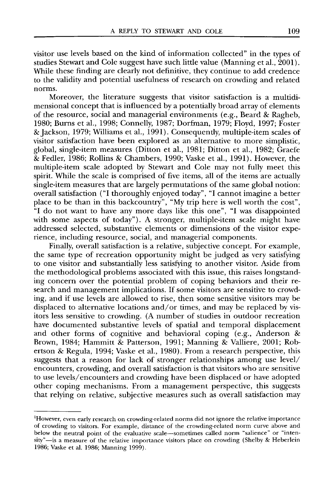visitor use levels based on the kind of information collected" in the types of studies Stewart and Cole suggest have such little value (Manning et al.,  $2001$ ). While these finding are clearly not definitive, they continue to add credence to the validity and potential usefulness of research on crowding and related norms.

Moreover, the literature suggests that visitor satisfaction is a multidimensional concept that is influenced by a potentially broad array of elements of the resource, social and managerial environments (e.g., Beard & Ragheb, 1980; Burns et al., 1998; Connelly, 1987; Dorfman, 1979; Floyd, 1997; Foster & Jackson, 1979; Williams et al., 1991). Consequently, multiple-item scales of visitor satisfaction have been explored as an alternative to more simplistic, global, single-item measures (Ditton et al., 1981; Ditton et al., 1982; Graefe & Fedler, 1986; Rollins & Chambers, 1990; Vaske et al., 1991). However, the multiple-item scale adopted by Stewart and Cole may not fully meet this spirit. While the scale is comprised of five items, all of the items are actually single-item measures that are largely permutations of the same global notion: overall satisfaction ("I thoroughly enjoyed today", "I cannot imagine a better place to be than in this backcountry", "My trip here is well worth the cost", "I do not want to have any more days like this one", "I was disappointed with some aspects of today"). A stronger, multiple-item scale might have addressed selected, substantive elements or dimensions of the visitor experience, including resource, social, and managerial components.

Finally, overall satisfaction is a relative, subjective concept. For example, the same type of recreation opportunity might be judged as very satisfying to one visitor and substantially less satisfying to another visitor. Aside from the methodological problems associated with this issue, this raises longstanding concern over the potential problem of coping behaviors and their research and management implications. If some visitors are sensitive to crowding, and if use levels are allowed to rise, then some sensitive visitors may be displaced to alternative locations and/or times, and may be replaced by visitors less sensitive to crowding. (A number of studies in outdoor recreation have documented substantive levels of spatial and temporal displacement and other forms of cognitive and behavioral coping (e.g., Anderson & Brown, 1984; Hammitt & Patterson, 1991; Manning & Valliere, 2001; Robertson & Regula, 1994; Vaske et al., 1980). From a research perspective, this suggests that a reason for lack of stronger relationships among use level/ encounters, crowding, and overall satisfaction is that visitors who are sensitive to use levels/encounters and crowding have been displaced or have adopted other coping mechanisms. From a management perspective, this suggests that relying on relative, subjective measures such as overall satisfaction may

<sup>&#</sup>x27;However, even early research on crowding-related norms did not ignore the relative importance of crowding to visitors. For example, distance of the crowding-related norm curve above and below the neutral point of the evaluative scale—sometimes called norm "salience" or "intensity"—is a measure of the relative importance visitors place on crowding (Shelby & Heberlein 1986; Vaske et al. 1986; Manning 1999).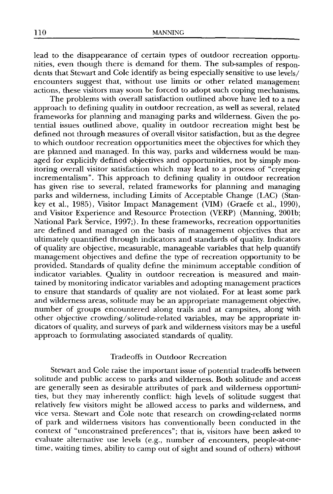lead to the disappearance of certain types of outdoor recreation opportunities, even though there is demand for them. The sub-samples of respondents that Stewart and Cole identify as being especially sensitive to use levels/ encounters suggest that, without use limits or other related management actions, these visitors may soon be forced to adopt such coping mechanisms.

The problems with overall satisfaction outlined above have led to a new approach to defining quality in outdoor recreation, as well as several, related frameworks for planning and managing parks and wilderness. Given the potential issues outlined above, quality in outdoor recreation might best be defined not through measures of overall visitor satisfaction, but as the degree to which outdoor recreation opportunities meet the objectives for which they are planned and managed. In this way, parks and wilderness would be managed for explicitly defined objectives and opportunities, not by simply monitoring overall visitor satisfaction which may lead to a process of "creeping incrementalism". This approach to defining quality in outdoor recreation has given rise to several, related frameworks for planning and managing parks and wilderness, including Limits of Acceptable Change (LAC) (Stankey et al., 1985), Visitor Impact Management (VIM) (Graefe et al., 1990), and Visitor Experience and Resource Protection (VERP) (Manning, 2001b; National Park Service, 1997;). In these frameworks, recreation opportunities are defined and managed on the basis of management objectives that are ultimately quantified through indicators and standards of quality. Indicators of quality are objective, measurable, manageable variables that help quantify management objectives and define the type of recreation opportunity to be provided. Standards of quality define the minimum acceptable condition of indicator variables. Quality in outdoor recreation is measured and maintained by monitoring indicator variables and adopting management practices to ensure that standards of quality are not violated. For at least some park and wilderness areas, solitude may be an appropriate management objective, number of groups encountered along trails and at campsites, along with other objective crowding/solitude-related variables, may be appropriate indicators of quality, and surveys of park and wilderness visitors may be a useful approach to formulating associated standards of quality.

# Tradeoffs in Outdoor Recreation

Stewart and Cole raise the important issue of potential tradeoffs between solitude and public access to parks and wilderness. Both solitude and access are generally seen as desirable attributes of park and wilderness opportunities, but they may inherently conflict: high levels of solitude suggest that relatively few visitors might be allowed access to parks and wilderness, and vice versa. Stewart and Cole note that research on crowding-related norms of park and wilderness visitors has conventionally been conducted in the context of "unconstrained preferences"; that is, visitors have been asked to evaluate alternative use levels (e.g., number of encounters, people-at-onetime, waiting times, ability to camp out of sight and sound of others) without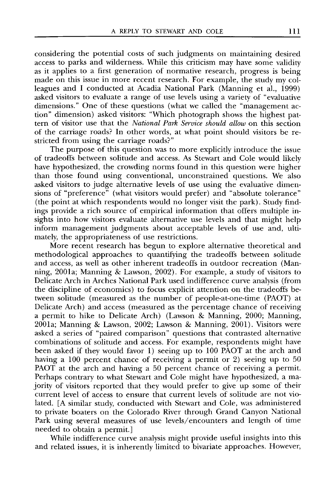considering the potential costs of such judgments on maintaining desired access to parks and wilderness. While this criticism may have some validity as it applies to a first generation of normative research, progress is being made on this issue in more recent research. For example, the study my colleagues and I conducted at Acadia National Park (Manning et al., 1999) asked visitors to evaluate a range of use levels using a variety of "evaluative dimensions." One of these questions (what we called the "management action" dimension) asked visitors: "Which photograph shows the highest pattern of visitor use that the *National Park Service should allow* on this section of the carriage roads? In other words, at what point should visitors be restricted from using the carriage roads?"

The purpose of this question was to more explicitly introduce the issue of tradeoffs between solitude and access. As Stewart and Cole would likely have hypothesized, the crowding norms found in this question were higher than those found using conventional, unconstrained questions. We also asked visitors to judge alternative levels of use using the evaluative dimensions of "preference" (what visitors would prefer) and "absolute tolerance" (the point at which respondents would no longer visit the park). Study findings provide a rich source of empirical information that offers multiple insights into how visitors evaluate alternative use levels and that might help inform management judgments about acceptable levels of use and, ultimately, the appropriateness of use restrictions.

More recent research has begun to explore alternative theoretical and methodological approaches to quantifying the tradeoffs between solitude and access, as well as other inherent tradeoffs in outdoor recreation (Manning, 2001a; Manning & Lawson, 2002). For example, a study of visitors to Delicate Arch in Arches National Park used indifference curve analysis (from the discipline of economics) to focus explicit attention on the tradeoffs between solitude (measured as the number of people-at-one-time (PAOT) at Delicate Arch) and access (measured as the percentage chance of receiving a permit to hike to Delicate Arch) (Lawson & Manning, 2000; Manning, 2001a; Manning & Lawson, 2002; Lawson & Manning, 2001). Visitors were asked a series of "paired comparison" questions that contrasted alternative combinations of solitude and access. For example, respondents might have been asked if they would favor 1) seeing up to 100 PAOT at the arch and having a 100 percent chance of receiving a permit or 2) seeing up to 50 PAOT at the arch and having a 50 percent chance of receiving a permit. Perhaps contrary to what Stewart and Cole might have hypothesized, a majority of visitors reported that they would prefer to give up some of their current level of access to ensure that current levels of solitude are not violated. [A similar study, conducted with Stewart and Cole, was administered to private boaters on the Colorado River through Grand Canyon National Park using several measures of use levels/encounters and length of time needed to obtain a permit.

While indifference curve analysis might provide useful insights into this and related issues, it is inherently limited to bivariate approaches. However,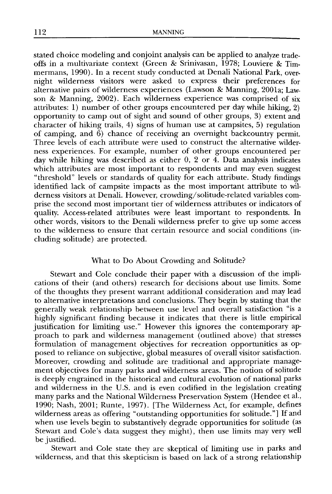stated choice modeling and conjoint analysis can be applied to analyze tradeoffs in a multivariate context (Green & Srinivasan, 1978; Louviere & Timmermans, 1990). In a recent study conducted at Denali National Park, overnight wilderness visitors were asked to express their preferences for alternative pairs of wilderness experiences (Lawson & Manning, 2001a; Lawson & Manning, 2002). Each wilderness experience was comprised of six attributes: 1) number of other groups encountered per day while hiking,  $2$ ) opportunity to camp out of sight and sound of other groups, 3) extent and character of hiking trails, 4) signs of human use at campsites, 5) regulation of camping, and  $\vec{6}$ ) chance of receiving an overnight backcountry permit. Three levels of each attribute were used to construct the alternative wilderness experiences. For example, numbe r of other groups encountered per day while hiking was described as either 0, 2 or 4. Data analysis indicates which attributes are most important to respondents and may even suggest "threshold" levels or standards of quality for each attribute. Study findings identified lack of campsite impacts as the most important attribute to wilderness visitors at Denali. However, crowding/solitude-related variables comprise the second most important tier of wilderness attributes or indicators of quality. Access-related attributes were least important to respondents. In other words, visitors to the Denali wilderness prefer to give up some access to the wilderness to ensure that certain resource and social conditions (including solitude) are protected.

#### What to Do About Crowding and Solitude?

Stewart and Cole conclude their paper with a discussion of the implications of their (and others) research for decisions about use limits. Some of the thoughts they present warrant additional consideration and may lead to alternative interpretations and conclusions. They begin by stating that the generally weak relationship between use level and overall satisfaction "is a highly significant finding because it indicates that there is little empirical justification for limiting use." However this ignores the contemporary approach to park and wilderness management (outlined above) that stresses formulation of management objectives for recreation opportunities as opposed to reliance on subjective, global measures of overall visitor satisfaction. Moreover, crowding and solitude are traditional and appropriate management objectives for many parks and wilderness areas. The notion of solitude is deeply engrained in the historical and cultural evolution of national parks and wilderness in the U.S. and is even codified in the legislation creating many parks and the National Wilderness Preservation System (Hendee et al., 1990; Nash, 2001; Runte, 1997). [The Wilderness Act, for example, defines wilderness areas as offering "outstanding opportunities for solitude."] If and when use levels begin to substantively degrade opportunities for solitude (as Stewart and Cole's data suggest they might), then use limits may very well be justified.

Stewart and Cole state they are skeptical of limiting use in parks and wilderness, and that this skepticism is based on lack of a strong relationship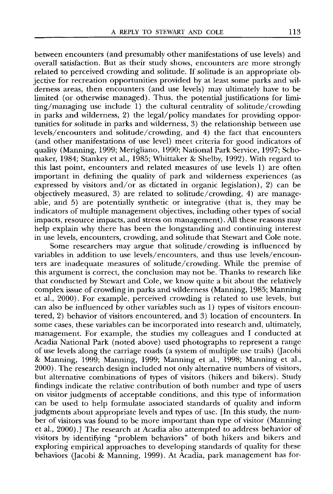between encounters (and presumably other manifestations of use levels) and overall satisfaction. But as their study shows, encounters are more strongly related to perceived crowding and solitude. If solitude is an appropriate objective for recreation opportunities provided by at least some parks and wilderness areas, then encounters (and use levels) may ultimately have to be limited (or otherwise managed). Thus, the potential justifications for limiting/managing use include 1) the cultural centrality of solitude/crowding in parks and wilderness, 2) the legal/policy mandates for providing opportunities for solitude in parks and wilderness, 3) the relationship between use levels/encounters and solitude/crowding, and 4) the fact that encounters (and other manifestations of use level) meet criteria for good indicators of quality (Manning, 1999; Merigliano, 1990; National Park Service, 1997; Schomaker, 1984; Stankey et al., 1985; Whittaker & Shelby, 1992). With regard to this last point, encounters and related measures of use levels 1) are often important in defining the quality of park and wilderness experiences (as expressed by visitors and/or as dictated in organic legislation), 2) can be objectively measured, 3) are related to solitude/crowding, 4) are manageable, and 5) are potentially synthetic or integrative (that is, they may be indicators of multiple management objectives, including other types of social impacts, resource impacts, and stress on management). All these reasons may help explain why there has been the longstanding and continuing interest in use levels, encounters, crowding, and solitude that Stewart and Cole note.

Some researchers may argue that solitude/crowding is influenced by variables in addition to use levels/encounters, and thus use levels/encounters are inadequate measures of solitude/crowding. While the premise of this argument is correct, the conclusion may not be. Thanks to research like that conducted by Stewart and Cole, we know quite a bit about the relatively complex issue of crowding in parks and wilderness (Manning, 1985; Manning et al., 2000). For example, perceived crowding is related to use levels, but can also be influenced by other variables such as 1) types of visitors encountered, 2) behavior of visitors encountered, and 3) location of encounters. In some cases, these variables can be incorporated into research and, ultimately, management. For example, the studies my colleagues and I conducted at Acadia National Park (noted above) used photographs to represent a range of use levels along the carriage roads (a system of multiple use trails) (Jacobi & Manning, 1999; Manning, 1999; Manning et al., 1998; Manning et al., 2000). The research design included not only alternative numbers of visitors, but alternative combinations of types of visitors (hikers and bikers). Study findings indicate the relative contribution of both number and type of users on visitor judgments of acceptable conditions, and this type of information can be used to help formulate associated standards of quality and inform judgments about appropriate levels and types of use. [In this study, the number of visitors was found to be more important than type of visitor (Manning et al., 2000).] The research at Acadia also attempted to address behavior of visitors by identifying "problem behaviors" of both hikers and bikers and exploring empirical approaches to developing standards of quality for these behaviors (Jacobi & Manning, 1999). At Acadia, park management has for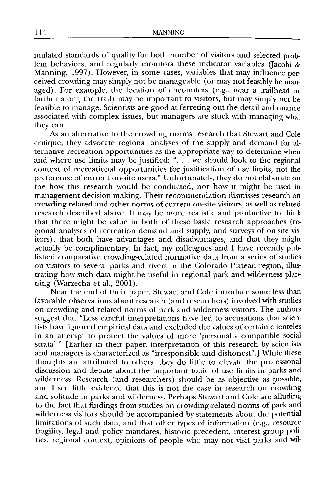mulated standards of quality for both number of visitors and selected problem behaviors, and regularly monitors these indicator variables (Jacobi & Manning, 1997). However, in some cases, variables that may influence perceived crowding may simply not be manageable (or may not feasibly be managed). For example, the location of encounters (e.g., near a trailhead or farther along the trail) may be important to visitors, but may simply not be feasible to manage. Scientists are good at ferreting out the detail and nuance associated with complex issues, but managers are stuck with managing what they can.

As an alternative to the crowding norms research that Stewart and Cole critique, they advocate regional analyses of the supply and demand for alternative recreation opportunities as the appropriate way to determine when and where use limits may be justified: " $\ldots$  we should look to the regional context of recreational opportunities for justification of use limits, not the preference of current on-site users." Unfortunately, they do not elaborate on the how this research would be conducted, nor how it might be used in management decision-making. Their recommendation dismisses research on crowding-related and other norms of current on-site visitors, as well as related research described above. It may be more realistic and productive to think that there might be value in both of these basic research approaches (regional analyses of recreation demand and supply, and surveys of on-site visitors), that both have advantages and disadvantages, and that they might actually be complimentary. In fact, my colleagues and I have recently published comparative crowding-related normative data from a series of studies on visitors to several parks and rivers in the Colorado Plateau region, illustrating how such data might be useful in regional park and wilderness planning (Warzecha et al., 2001).

Near the end of their paper, Stewart and Cole introduce some less than favorable observations about research (and researchers) involved with studies on crowding and related norms of park and wilderness visitors. The authors suggest that "Less careful interpretations have led to accusations that scientists have ignored empirical data and excluded the values of certain clienteles in an attempt to protect the values of more 'personally compatible social strata'." [Earlier in their paper, interpretation of this research by scientists and managers is characterized as "irresponsible and dishonest".] While these thoughts are attributed to others, they do little to elevate the professional discussion and debate about the important topic of use limits in parks and wilderness. Research (and researchers) should be as objective as possible, and I see little evidence that this is not the case in research on crowding and solitude in parks and wilderness. Perhaps Stewart and Cole are alluding to the fact that findings from studies on crowding-related norms of park and wilderness visitors should be accompanied by statements about the potential limitations of such data, and that other types of information (e.g., resource fragility, legal and policy mandates, historic precedent, interest group politics, regional context, opinions of people who may not visit parks and wil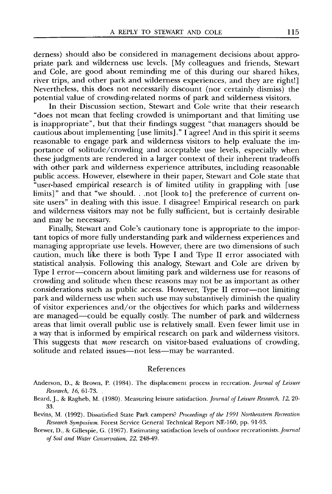derness) should also be considered in management decisions about appropriate park and wilderness use levels. [My colleagues and friends, Stewart and Cole, are good about reminding me of this during our shared hikes, river trips, and other park and wilderness experiences, and they are right!] Nevertheless, this does not necessarily discount (nor certainly dismiss) the potential value of crowding-related norms of park and wilderness visitors.

In their Discussion section, Stewart and Cole write that their research "does not mean that feeling crowded is unimportant and that limiting use is inappropriate", but that their findings suggest "that managers should be cautious about implementing [use limits]." I agree! And in this spirit it seems reasonable to engage park and wilderness visitors to help evaluate the importance of solitude/crowding and acceptable use levels, especially when these judgments are rendered in a larger context of their inherent tradeoffs with other park and wilderness experience attributes, including reasonable public access. However, elsewhere in their paper, Stewart and Cole state that "user-based empirical research is of limited utility in grappling with [use limits]" and that "we should. . .not [look to] the preference of current onsite users" in dealing with this issue. I disagree! Empirical research on park and wilderness visitors may not be fully sufficient, but is certainly desirable and may be necessary.

Finally, Stewart and Cole's cautionary tone is appropriate to the important topics of more fully understanding park and wilderness experiences and managing appropriate use levels. However, there are two dimensions of such caution, much like there is both Type I and Type II error associated with statistical analysis. Following this analogy, Stewart and Cole are driven by Type I error—concern about limiting park and wilderness use for reasons of crowding and solitude when these reasons may not be as important as other considerations such as public access. However, Type II error—not limiting park and wilderness use when such use may substantively diminish the quality of visitor experiences and/or the objectives for which parks and wilderness are managed—could be equally costly. The number of park and wilderness areas that limit overall public use is relatively small. Even fewer limit use in a way that is informed by empirical research on park and wilderness visitors. This suggests that *more* research on visitor-based evaluations of crowding, solitude and related issues—not less—may be warranted.

#### References

- Anderson, D., & Brown, P. (1984). The displacement process in recreation. *Journal of Leisure Research, 16,* 61-73. .
- Beard, J., & Ragheb, M. (1980). Measuring leisure satisfaction. *Journal of Leisure Research, 12,* 20- 33.
- Bevins, M. (1992). Dissatisfied State Park campers? *Proceedings of the 1991 Northeastern Recreation Research Symposium.* Forest Service General Technical Report NE-160, pp. 91-93.
- Brewer, D., & Gillespie, G. (1967). Estimating satisfaction levels of outdoor recreationists. Journal *of Soil and Water Conservation, 22,* 248-49.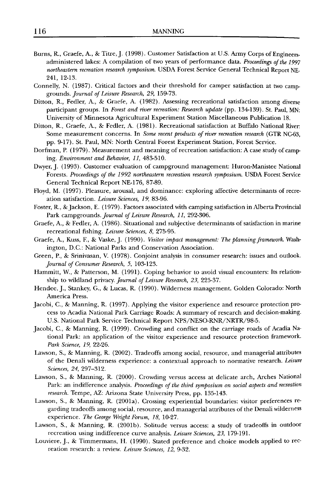- Burns, R., Graefe, A., & Titre, J. (1998). Customer Satisfaction at U.S. Army Corps of Engineersadministered lakes: A compilation of two years of performance data. *Proceedings of the 1997 northeastern recreation research symposium.* USDA Forest Service General Technical Report NE-241, 12-13.
- Connelly, N. (1987). Critical factors and their threshold for camper satisfaction at two campgrounds. *Journal of Leisure Research, 29,* 159-73.
- Ditton, R., Fedler, A., & Graefe, A. (1982). Assessing recreational satisfaction among diverse participant groups. In *Forest and river recreation: Research update* (pp. 134-139). St. Paul, MN: University of Minnesota Agricultural Experiment Station Miscellaneous Publication 18.
- Ditton, R., Graefe, A., & Fedler, A. (1981). Recreational satisfaction at Buffalo National River: Some measurement concerns. In *Some recent products of river recreation research* (GTR NC-63, pp. 9-17). St. Paul, MN: North Central Forest Experiment Station, Forest Service.
- Dorfman, P. (1979). Measurement and meaning of recreation satisfaction: A case study of camping. *Environment and Behavior, 11,* 483-510.
- Dwyer, J. (1993). Customer evaluation of campground management: Huron-Manistee National Forests. *Proceedings of the 1992 northeastern recreation research symposium.* USDA Forest Service General Technical Report NE-176, 87-89.
- Floyd, M. (1997). Pleasure, arousal, and dominance: exploring affective determinants of recreation satisfaction. *Leisure Sciences, 19,* 83-96.
- Foster, R., & Jackson, E. (1979). Factors associated with camping satisfaction in Alberta Provincial Park campgrounds. *Journal of Leisure Research, 11,* 292-306.
- Graefe, A., & Fedler, A. (1986). Situational and subjective determinants of satisfaction in marine recreational fishing. *Leisure Sciences, 8,* 275-95.
- Graefe, A., Kuss, F, & Vaske, J. (1990). *Visitor impact management: The planning framework.* Washington, D.C.: National Parks and Conservation Association.
- Green, P., & Srinivasan, V. (1978). Conjoint analysis in consumer research: issues and outlook. *Journal of Consumer Research, 5,* 103-123.
- Hammitt, W., & Patterson, M. (1991). Coping behavior to avoid visual encounters: Its relationship to wildland privacy. *Journal of Leisure Research, 23,* 225-37.
- Hendee, J., Stankey, G., & Lucas, R. (1990). Wilderness management. Golden Colorado: North America Press.
- Jacobi, C, & Manning, R. (1997). Applying the visitor experience and resource protection process to Acadia National Park Carriage Roads: A summary of research and decision-making. U.S. National Park Service Technical Report NPS/NESO-RNR/NRTR/98-5.
- Jacobi, C, & Manning, R. (1999). Crowding and conflict on the carriage roads of Acadia National Park: an application of the visitor experience and resource protection framework. *Park Science, 19,* 22-26.
- Lawson, S., & Manning, R. (2002). Tradeoffs among social, resource, and managerial attributes of the Denali wilderness experience: a contextual approach to normative research. *Leisure Sciences, 24,* 297-312.
- Lawson, S., & Manning, R. (2000). Crowding versus access at delicate arch, Arches National Park: an indifference analysis. *Proceedings of the third symposium on social aspects and recreation research.* Tempe, AZ: Arizona State University Press, pp. 135-143.
- Lawson, S., & Manning, R. (2001a). Crossing experiential boundaries: visitor preferences regarding tradeoffs among social, resource, and managerial attributes of the Denali wilderness experience. *The George Wright Forum, 18,* 10-27.
- Lawson, S., & Manning, R. (2001b). Solitude versus access: a study of tradeoffs in outdoor recreation using indifference curve analysis. *Leisure Sciences, 23,* 179-191.
- Louviere, J., & Timmermans, H. (1990). Stated preference and choice models applied to recreation research: a review. *Leisure Sciences, 12,* 9-32.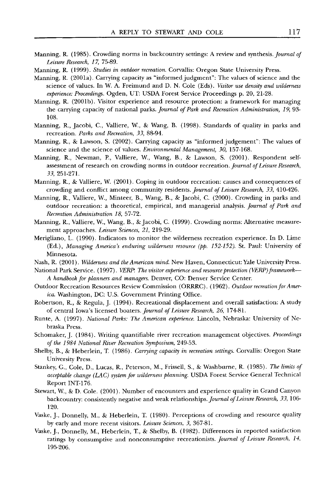- Manning, R. (1985). Crowding norms in backcountry settings: A review and synthesis. *Journal of Leisure Research, 17,* 75-89.
- Manning, R. (1999). *Studies in outdoor recreation.* Corvallis: Oregon State University Press.
- Manning, R. (2001a). Carrying capacity as "informed judgment": The values of science and the science of values. In W. A. Freimund and D. N. Cole (Eds). *Visitor use density and wilderness experience: Proceeding.* Ogden, UT: USDA Forest Service Proceedings p. 20, 21-28.
- Manning, R. (2001b). Visitor experience and resource protection: a framework for managing the carrying capacity of national parks. *Journal of Park and Recreation Administration, 19,* 93- 108.
- Manning, R., Jacobi, C, Valliere, W., & Wang, B. (1998). Standards of quality in parks and recreation. *Parks and Recreation, 33,* 88-94.
- Manning, R., & Lawson, S. (2002). Carrying capacity as "informed judgement": The values of science and the science of values. *Environmental Management, 30,* 157-168.
- Manning, R., Newman, P., Valliere, W., Wang, B., & Lawson, S. (2001). Respondent selfassessment of research on crowding norms in outdoor recreation. *Journal of Leisure Research, 33,* 251-271.
- Manning, R., & Valliere, W. (2001). Coping in outdoor recreation: causes and consequences of crowding and conflict among community residents. *Journal of Leisure Research, 33,* 410-426.
- Manning, R., Valliere, W., Minteer, B., Wang, B., & Jacobi, C. (2000). Crowding in parks and outdoor recreation: a theoretical, empirical, and managerial analysis. *Journal of Park and Recreation Administration 18,* 57-72.
- Manning, R., Valliere, W., Wang, B., & Jacobi, C. (1999). Crowding norms: Alternative measurement approaches. *Leisure Sciences, 21,* 219-29.
- Merigliano, L. (1990). Indicators to monitor the wilderness recreation experience. In D. Lime (Ed.), *Managing America's enduring wilderness resource (pp. 152-152).* St. Paul: University of Minnesota.
- Nash, R. (2001). *Wilderness and the American mind.* New Haven, Connecticut: Yale University Press.
- National Park Service. (1997). *VERP. The visitor experience and resource protection (VERP) framework A handbook for planners and managers.* Denver, CO: Denver Service Center.
- Outdoor Recreation Resources Review Commission (ORRRC). (1962). *Outdoor recreation for America.* Washington, DC: U.S. Government Printing Office.
- Robertson, R., & Regula, J. (1994). Recreational displacement and overall satisfaction: A study of central Iowa's licensed boaters. *Journal of Leisure Research, 26,* 174-81.
- Runte, A. (1997). *National Parks: The American experience.* Lincoln, Nebraska: University of Nebraska Press.
- Schomaker, J. (1984). Writing quantifiable river recreation management objectives. *Proceedings of the 1984 National River Recreation Symposium,* 249-53.
- Shelby, B., & Heberlein, T. (1986). *Carrying capacity in recreation settings.* Corvallis: Oregon State University Press.
- Stankey, G., Cole, D., Lucas, R., Peterson, M., Frissell, S., & Washburne, R. (1985). *The limits of acceptable change (LAC) system for wilderness planning.* USDA Forest Service General Technical Report INT-176.
- Stewart, W., & D. Cole. (2001). Number of encounters and experience quality in Grand Canyon backcountry: consistently negative and weak relationships. *Journal of Leisure Research, 33,* 106- 120.
- Vaske, J., Donnelly, M., & Heberlein, T. (1980). Perceptions of crowding and resource quality by early and more recent visitors. *Leisure Sciences, 3,* 367-81.
- Vaske, J., Donnelly, M., Heberlein, T, & Shelby, B. (1982). Differences in reported satisfaction ratings by consumptive and nonconsumptive recreationists. *Journal of Leisure Research, 14,* 195-206.